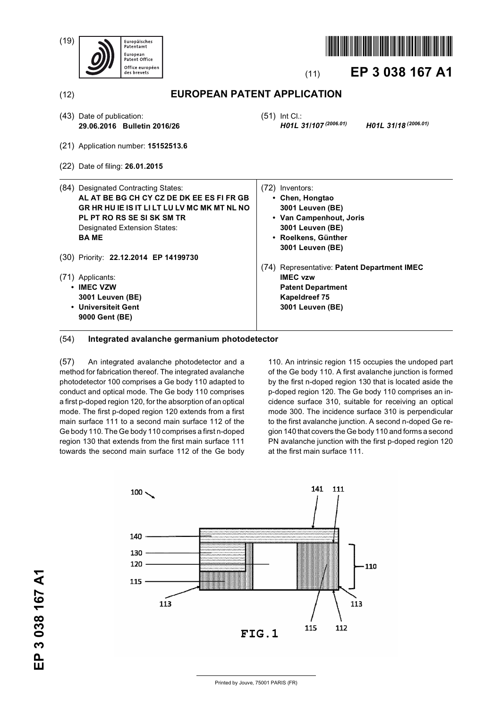

### (54) **Integrated avalanche germanium photodetector**

(57) An integrated avalanche photodetector and a method for fabrication thereof. The integrated avalanche photodetector 100 comprises a Ge body 110 adapted to conduct and optical mode. The Ge body 110 comprises a first p-doped region 120, for the absorption of an optical mode. The first p-doped region 120 extends from a first main surface 111 to a second main surface 112 of the Ge body 110. The Ge body 110 comprises a first n-doped region 130 that extends from the first main surface 111 towards the second main surface 112 of the Ge body

110. An intrinsic region 115 occupies the undoped part of the Ge body 110. A first avalanche junction is formed by the first n-doped region 130 that is located aside the p-doped region 120. The Ge body 110 comprises an incidence surface 310, suitable for receiving an optical mode 300. The incidence surface 310 is perpendicular to the first avalanche junction. A second n-doped Ge region 140 that covers the Ge body 110 and forms a second PN avalanche junction with the first p-doped region 120 at the first main surface 111.



Printed by Jouve, 75001 PARIS (FR)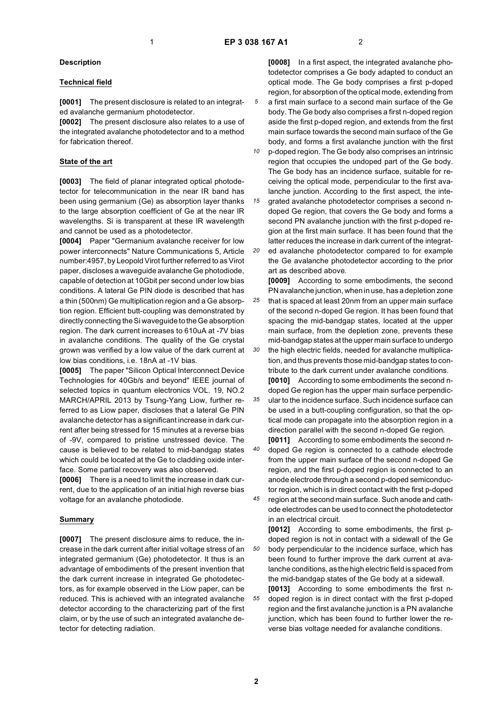#### **Description**

### **Technical field**

**[0001]** The present disclosure is related to an integrated avalanche germanium photodetector.

**[0002]** The present disclosure also relates to a use of the integrated avalanche photodetector and to a method for fabrication thereof.

#### **State of the art**

**[0003]** The field of planar integrated optical photodetector for telecommunication in the near IR band has been using germanium (Ge) as absorption layer thanks to the large absorption coefficient of Ge at the near IR wavelengths. Si is transparent at these IR wavelength and cannot be used as a photodetector.

**[0004]** Paper "Germanium avalanche receiver for low power interconnects" Nature Communications 5, Article number:4957, by Leopold Virot further referred to as Virot paper, discloses a waveguide avalanche Ge photodiode, capable of detection at 10Gbit per second under low bias conditions. A lateral Ge PIN diode is described that has a thin (500nm) Ge multiplication region and a Ge absorption region. Efficient butt-coupling was demonstrated by directly connecting the Si waveguide to the Ge absorption region. The dark current increases to 610uA at -7V bias in avalanche conditions. The quality of the Ge crystal grown was verified by a low value of the dark current at low bias conditions, i.e. 18nA at -1V bias.

**[0005]** The paper "Silicon Optical Interconnect Device Technologies for 40Gb/s and beyond" IEEE journal of selected topics in quantum electronics VOL. 19, NO.2 MARCH/APRIL 2013 by Tsung-Yang Liow, further referred to as Liow paper, discloses that a lateral Ge PIN avalanche detector has a significant increase in dark current after being stressed for 15 minutes at a reverse bias of -9V, compared to pristine unstressed device. The cause is believed to be related to mid-bandgap states which could be located at the Ge to cladding oxide interface. Some partial recovery was also observed.

**[0006]** There is a need to limit the increase in dark current, due to the application of an initial high reverse bias voltage for an avalanche photodiode.

#### **Summary**

**[0007]** The present disclosure aims to reduce, the increase in the dark current after initial voltage stress of an integrated germanium (Ge) photodetector. It thus is an advantage of embodiments of the present invention that the dark current increase in integrated Ge photodetectors, as for example observed in the Liow paper, can be reduced. This is achieved with an integrated avalanche detector according to the characterizing part of the first claim, or by the use of such an integrated avalanche detector for detecting radiation.

**[0008]** In a first aspect, the integrated avalanche photodetector comprises a Ge body adapted to conduct an optical mode. The Ge body comprises a first p-doped region, for absorption of the optical mode, extending from a first main surface to a second main surface of the Ge body. The Ge body also comprises a first n-doped region aside the first p-doped region, and extends from the first main surface towards the second main surface of the Ge body, and forms a first avalanche junction with the first

*10* p-doped region. The Ge body also comprises an intrinsic region that occupies the undoped part of the Ge body. The Ge body has an incidence surface, suitable for receiving the optical mode, perpendicular to the first avalanche junction. According to the first aspect, the inte-

*15* grated avalanche photodetector comprises a second ndoped Ge region, that covers the Ge body and forms a second PN avalanche junction with the first p-doped region at the first main surface. It has been found that the latter reduces the increase in dark current of the integrat-

*20* ed avalanche photodetector compared to for example the Ge avalanche photodetector according to the prior art as described above.

*25 30* **[0009]** According to some embodiments, the second PN avalanche junction, when in use, has a depletion zone that is spaced at least 20nm from an upper main surface of the second n-doped Ge region. It has been found that spacing the mid-bandgap states, located at the upper main surface, from the depletion zone, prevents these mid-bandgap states at the upper main surface to undergo the high electric fields, needed for avalanche multiplica-

tion, and thus prevents those mid-bandgap states to contribute to the dark current under avalanche conditions.

*35* **[0010]** According to some embodiments the second ndoped Ge region has the upper main surface perpendicular to the incidence surface. Such incidence surface can be used in a butt-coupling configuration, so that the optical mode can propagate into the absorption region in a direction parallel with the second n-doped Ge region.

*40* **[0011]** According to some embodiments the second ndoped Ge region is connected to a cathode electrode from the upper main surface of the second n-doped Ge region, and the first p-doped region is connected to an anode electrode through a second p-doped semiconductor region, which is in direct contact with the first p-doped

*45* region at the second main surface. Such anode and cathode electrodes can be used to connect the photodetector in an electrical circuit.

*50* **[0012]** According to some embodiments, the first pdoped region is not in contact with a sidewall of the Ge body perpendicular to the incidence surface, which has been found to further improve the dark current at avalanche conditions, as the high electric field is spaced from the mid-bandgap states of the Ge body at a sidewall.

*55* **[0013]** According to some embodiments the first ndoped region is in direct contact with the first p-doped region and the first avalanche junction is a PN avalanche junction, which has been found to further lower the reverse bias voltage needed for avalanche conditions.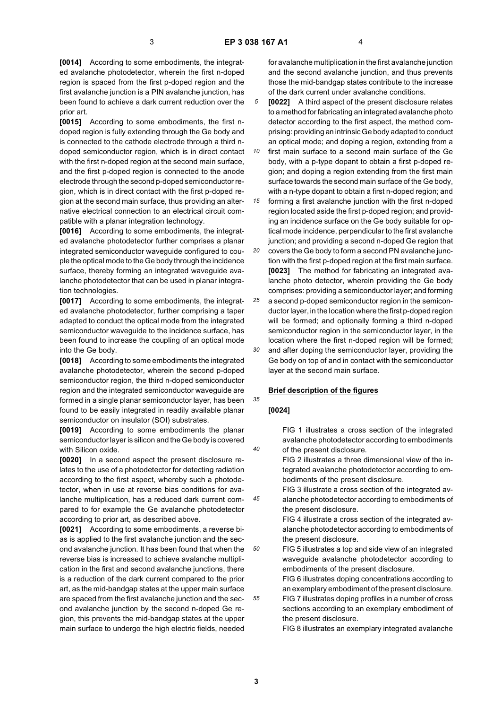**[0014]** According to some embodiments, the integrated avalanche photodetector, wherein the first n-doped region is spaced from the first p-doped region and the first avalanche junction is a PIN avalanche junction, has been found to achieve a dark current reduction over the prior art.

**[0015]** According to some embodiments, the first ndoped region is fully extending through the Ge body and is connected to the cathode electrode through a third ndoped semiconductor region, which is in direct contact with the first n-doped region at the second main surface, and the first p-doped region is connected to the anode electrode through the second p-doped semiconductor region, which is in direct contact with the first p-doped region at the second main surface, thus providing an alternative electrical connection to an electrical circuit compatible with a planar integration technology.

**[0016]** According to some embodiments, the integrated avalanche photodetector further comprises a planar integrated semiconductor waveguide configured to couple the optical mode to the Ge body through the incidence surface, thereby forming an integrated waveguide avalanche photodetector that can be used in planar integration technologies.

**[0017]** According to some embodiments, the integrated avalanche photodetector, further comprising a taper adapted to conduct the optical mode from the integrated semiconductor waveguide to the incidence surface, has been found to increase the coupling of an optical mode into the Ge body.

**[0018]** According to some embodiments the integrated avalanche photodetector, wherein the second p-doped semiconductor region, the third n-doped semiconductor region and the integrated semiconductor waveguide are formed in a single planar semiconductor layer, has been found to be easily integrated in readily available planar semiconductor on insulator (SOI) substrates.

**[0019]** According to some embodiments the planar semiconductor layer is silicon and the Ge body is covered with Silicon oxide.

**[0020]** In a second aspect the present disclosure relates to the use of a photodetector for detecting radiation according to the first aspect, whereby such a photodetector, when in use at reverse bias conditions for avalanche multiplication, has a reduced dark current compared to for example the Ge avalanche photodetector according to prior art, as described above.

**[0021]** According to some embodiments, a reverse bias is applied to the first avalanche junction and the second avalanche junction. It has been found that when the reverse bias is increased to achieve avalanche multiplication in the first and second avalanche junctions, there is a reduction of the dark current compared to the prior art, as the mid-bandgap states at the upper main surface are spaced from the first avalanche junction and the second avalanche junction by the second n-doped Ge region, this prevents the mid-bandgap states at the upper main surface to undergo the high electric fields, needed

for avalanche multiplication in the first avalanche junction and the second avalanche junction, and thus prevents those the mid-bandgap states contribute to the increase of the dark current under avalanche conditions.

*5* **[0022]** A third aspect of the present disclosure relates to a method for fabricating an integrated avalanche photo detector according to the first aspect, the method comprising: providing an intrinsic Ge body adapted to conduct an optical mode; and doping a region, extending from a

*10* first main surface to a second main surface of the Ge body, with a p-type dopant to obtain a first p-doped region; and doping a region extending from the first main surface towards the second main surface of the Ge body, with a n-type dopant to obtain a first n-doped region; and

*15* forming a first avalanche junction with the first n-doped region located aside the first p-doped region; and providing an incidence surface on the Ge body suitable for optical mode incidence, perpendicular to the first avalanche junction; and providing a second n-doped Ge region that

*20* covers the Ge body to form a second PN avalanche junction with the first p-doped region at the first main surface. **[0023]** The method for fabricating an integrated avalanche photo detector, wherein providing the Ge body comprises: providing a semiconductor layer; and forming

*25 30* a second p-doped semiconductor region in the semiconductor layer, in the location where the first p-doped region will be formed; and optionally forming a third n-doped semiconductor region in the semiconductor layer, in the location where the first n-doped region will be formed; and after doping the semiconductor layer, providing the Ge body on top of and in contact with the semiconductor layer at the second main surface.

### **Brief description of the figures**

#### **[0024]**

*35*

*40*

*45*

*50*

*55*

FIG 1 illustrates a cross section of the integrated avalanche photodetector according to embodiments of the present disclosure.

FIG 2 illustrates a three dimensional view of the integrated avalanche photodetector according to embodiments of the present disclosure.

FIG 3 illustrate a cross section of the integrated avalanche photodetector according to embodiments of the present disclosure.

FIG 4 illustrate a cross section of the integrated avalanche photodetector according to embodiments of the present disclosure.

FIG 5 illustrates a top and side view of an integrated waveguide avalanche photodetector according to embodiments of the present disclosure.

FIG 6 illustrates doping concentrations according to an exemplary embodiment of the present disclosure. FIG 7 illustrates doping profiles in a number of cross sections according to an exemplary embodiment of the present disclosure.

FIG 8 illustrates an exemplary integrated avalanche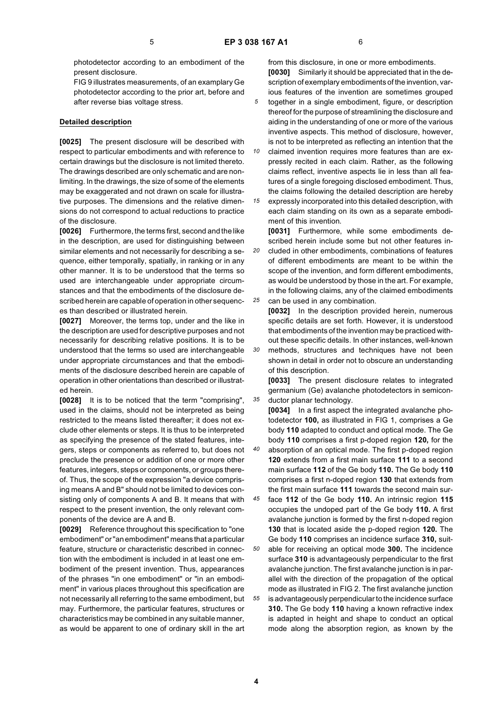photodetector according to an embodiment of the present disclosure.

FIG 9 illustrates measurements, of an examplary Ge photodetector according to the prior art, before and after reverse bias voltage stress.

#### **Detailed description**

**[0025]** The present disclosure will be described with respect to particular embodiments and with reference to certain drawings but the disclosure is not limited thereto. The drawings described are only schematic and are nonlimiting. In the drawings, the size of some of the elements may be exaggerated and not drawn on scale for illustrative purposes. The dimensions and the relative dimensions do not correspond to actual reductions to practice of the disclosure.

**[0026]** Furthermore, the terms first, second and the like in the description, are used for distinguishing between similar elements and not necessarily for describing a sequence, either temporally, spatially, in ranking or in any other manner. It is to be understood that the terms so used are interchangeable under appropriate circumstances and that the embodiments of the disclosure described herein are capable of operation in other sequences than described or illustrated herein.

**[0027]** Moreover, the terms top, under and the like in the description are used for descriptive purposes and not necessarily for describing relative positions. It is to be understood that the terms so used are interchangeable under appropriate circumstances and that the embodiments of the disclosure described herein are capable of operation in other orientations than described or illustrated herein.

**[0028]** It is to be noticed that the term "comprising", used in the claims, should not be interpreted as being restricted to the means listed thereafter; it does not exclude other elements or steps. It is thus to be interpreted as specifying the presence of the stated features, integers, steps or components as referred to, but does not preclude the presence or addition of one or more other features, integers, steps or components, or groups thereof. Thus, the scope of the expression "a device comprising means A and B" should not be limited to devices consisting only of components A and B. It means that with respect to the present invention, the only relevant components of the device are A and B.

**[0029]** Reference throughout this specification to "one embodiment" or "an embodiment" means that a particular feature, structure or characteristic described in connection with the embodiment is included in at least one embodiment of the present invention. Thus, appearances of the phrases "in one embodiment" or "in an embodiment" in various places throughout this specification are not necessarily all referring to the same embodiment, but may. Furthermore, the particular features, structures or characteristics may be combined in any suitable manner, as would be apparent to one of ordinary skill in the art

from this disclosure, in one or more embodiments. **[0030]** Similarly it should be appreciated that in the description of exemplary embodiments of the invention, various features of the invention are sometimes grouped together in a single embodiment, figure, or description thereof for the purpose of streamlining the disclosure and aiding in the understanding of one or more of the various inventive aspects. This method of disclosure, however,

*10* is not to be interpreted as reflecting an intention that the claimed invention requires more features than are expressly recited in each claim. Rather, as the following claims reflect, inventive aspects lie in less than all features of a single foregoing disclosed embodiment. Thus, the claims following the detailed description are hereby

*15* expressly incorporated into this detailed description, with each claim standing on its own as a separate embodiment of this invention.

**[0031]** Furthermore, while some embodiments described herein include some but not other features in-

*20 25* cluded in other embodiments, combinations of features of different embodiments are meant to be within the scope of the invention, and form different embodiments, as would be understood by those in the art. For example, in the following claims, any of the claimed embodiments can be used in any combination.

**[0032]** In the description provided herein, numerous specific details are set forth. However, it is understood that embodiments of the invention may be practiced without these specific details. In other instances, well-known

*30* methods, structures and techniques have not been shown in detail in order not to obscure an understanding of this description.

**[0033]** The present disclosure relates to integrated germanium (Ge) avalanche photodetectors in semiconductor planar technology.

*40* **[0034]** In a first aspect the integrated avalanche photodetector **100,** as illustrated in FIG 1, comprises a Ge body **110** adapted to conduct and optical mode. The Ge body **110** comprises a first p-doped region **120,** for the absorption of an optical mode. The first p-doped region **120** extends from a first main surface **111** to a second main surface **112** of the Ge body **110.** The Ge body **110** comprises a first n-doped region **130** that extends from the first main surface **111** towards the second main sur-

*45* face **112** of the Ge body **110.** An intrinsic region **115** occupies the undoped part of the Ge body **110.** A first avalanche junction is formed by the first n-doped region **130** that is located aside the p-doped region **120.** The Ge body **110** comprises an incidence surface **310,** suit-

*50 55* able for receiving an optical mode **300.** The incidence surface **310** is advantageously perpendicular to the first avalanche junction. The first avalanche junction is in parallel with the direction of the propagation of the optical mode as illustrated in FIG 2. The first avalanche junction is advantageously perpendicular to the incidence surface **310.** The Ge body **110** having a known refractive index is adapted in height and shape to conduct an optical mode along the absorption region, as known by the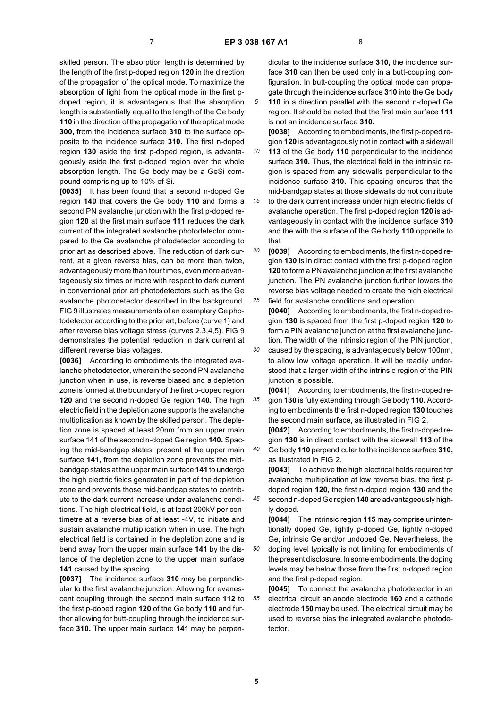skilled person. The absorption length is determined by the length of the first p-doped region **120** in the direction of the propagation of the optical mode. To maximize the absorption of light from the optical mode in the first pdoped region, it is advantageous that the absorption length is substantially equal to the length of the Ge body **110** in the direction of the propagation of the optical mode **300,** from the incidence surface **310** to the surface opposite to the incidence surface **310.** The first n-doped region **130** aside the first p-doped region, is advantageously aside the first p-doped region over the whole absorption length. The Ge body may be a GeSi compound comprising up to 10% of Si.

**[0035]** It has been found that a second n-doped Ge region **140** that covers the Ge body **110** and forms a second PN avalanche junction with the first p-doped region **120** at the first main surface **111** reduces the dark current of the integrated avalanche photodetector compared to the Ge avalanche photodetector according to prior art as described above. The reduction of dark current, at a given reverse bias, can be more than twice, advantageously more than four times, even more advantageously six times or more with respect to dark current in conventional prior art photodetectors such as the Ge avalanche photodetector described in the background. FIG 9 illustrates measurements of an examplary Ge photodetector according to the prior art, before (curve 1) and after reverse bias voltage stress (curves 2,3,4,5). FIG 9 demonstrates the potential reduction in dark current at different reverse bias voltages.

**[0036]** According to embodiments the integrated avalanche photodetector, wherein the second PN avalanche junction when in use, is reverse biased and a depletion zone is formed at the boundary of the first p-doped region **120** and the second n-doped Ge region **140.** The high electric field in the depletion zone supports the avalanche multiplication as known by the skilled person. The depletion zone is spaced at least 20nm from an upper main surface 141 of the second n-doped Ge region **140.** Spacing the mid-bandgap states, present at the upper main surface **141,** from the depletion zone prevents the midbandgap states at the upper main surface **141** to undergo the high electric fields generated in part of the depletion zone and prevents those mid-bandgap states to contribute to the dark current increase under avalanche conditions. The high electrical field, is at least 200kV per centimetre at a reverse bias of at least -4V, to initiate and sustain avalanche multiplication when in use. The high electrical field is contained in the depletion zone and is bend away from the upper main surface **141** by the distance of the depletion zone to the upper main surface **141** caused by the spacing.

**[0037]** The incidence surface **310** may be perpendicular to the first avalanche junction. Allowing for evanescent coupling through the second main surface **112** to the first p-doped region **120** of the Ge body **110** and further allowing for butt-coupling through the incidence surface **310.** The upper main surface **141** may be perpendicular to the incidence surface **310,** the incidence surface **310** can then be used only in a butt-coupling configuration. In butt-coupling the optical mode can propagate through the incidence surface **310** into the Ge body

**110** in a direction parallel with the second n-doped Ge region. It should be noted that the first main surface **111** is not an incidence surface **310.**

**[0038]** According to embodiments, the first p-doped region **120** is advantageously not in contact with a sidewall

*10 15* **113** of the Ge body **110** perpendicular to the incidence surface **310.** Thus, the electrical field in the intrinsic region is spaced from any sidewalls perpendicular to the incidence surface **310.** This spacing ensures that the mid-bandgap states at those sidewalls do not contribute

to the dark current increase under high electric fields of avalanche operation. The first p-doped region **120** is advantageously in contact with the incidence surface **310** and the with the surface of the Ge body **110** opposite to that

*20 25* **[0039]** According to embodiments, the first n-doped region **130** is in direct contact with the first p-doped region **120** to form a PN avalanche junction at the first avalanche junction. The PN avalanche junction further lowers the reverse bias voltage needed to create the high electrical field for avalanche conditions and operation.

**[0040]** According to embodiments, the first n-doped region **130** is spaced from the first p-doped region **120** to form a PIN avalanche junction at the first avalanche junction. The width of the intrinsic region of the PIN junction,

*30* caused by the spacing, is advantageously below 100nm, to allow low voltage operation. It will be readily understood that a larger width of the intrinsic region of the PIN junction is possible.

*35* **[0041]** According to embodiments, the first n-doped region **130** is fully extending through Ge body **110.** According to embodiments the first n-doped region **130** touches the second main surface, as illustrated in FIG 2.

**[0042]** According to embodiments, the first n-doped region **130** is in direct contact with the sidewall **113** of the Ge body **110** perpendicular to the incidence surface **310,**

as illustrated in FIG 2. **[0043]** To achieve the high electrical fields required for avalanche multiplication at low reverse bias, the first pdoped region **120,** the first n-doped region **130** and the

*45* second n-doped Ge region **140** are advantageously highly doped.

**[0044]** The intrinsic region **115** may comprise unintentionally doped Ge, lightly p-doped Ge, lightly n-doped Ge, intrinsic Ge and/or undoped Ge. Nevertheless, the doping level typically is not limiting for embodiments of the present disclosure. In some embodiments, the doping levels may be below those from the first n-doped region and the first p-doped region.

*55* **[0045]** To connect the avalanche photodetector in an electrical circuit an anode electrode **160** and a cathode electrode **150** may be used. The electrical circuit may be used to reverse bias the integrated avalanche photodetector.

*40*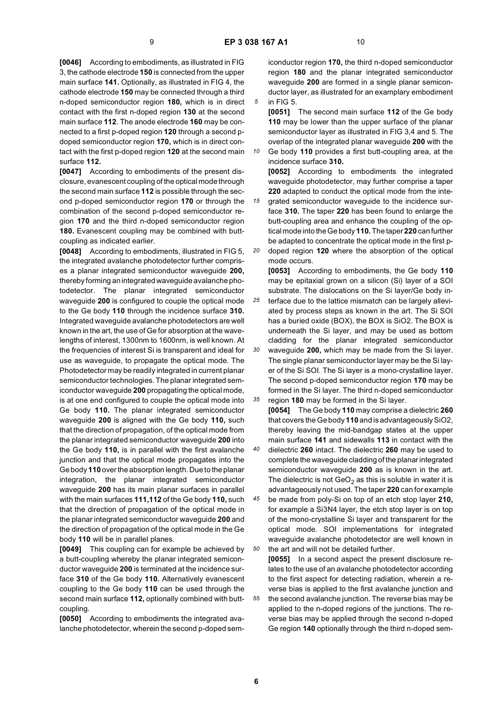**[0046]** According to embodiments, as illustrated in FIG 3, the cathode electrode **150** is connected from the upper main surface **141.** Optionally, as illustrated in FIG 4, the cathode electrode **150** may be connected through a third n-doped semiconductor region **180,** which is in direct contact with the first n-doped region **130** at the second main surface **112**. The anode electrode **160** may be connected to a first p-doped region **120** through a second pdoped semiconductor region **170,** which is in direct contact with the first p-doped region **120** at the second main surface **112.**

**[0047]** According to embodiments of the present disclosure, evanescent coupling of the optical mode through the second main surface **112** is possible through the second p-doped semiconductor region **170** or through the combination of the second p-doped semiconductor region **170** and the third n-doped semiconductor region **180.** Evanescent coupling may be combined with buttcoupling as indicated earlier.

**[0048]** According to embodiments, illustrated in FIG 5, the integrated avalanche photodetector further comprises a planar integrated semiconductor waveguide **200,** thereby forming an integrated waveguide avalanche photodetector. The planar integrated semiconductor waveguide **200** is configured to couple the optical mode to the Ge body **110** through the incidence surface **310.** Integrated waveguide avalanche photodetectors are well known in the art, the use of Ge for absorption at the wavelengths of interest, 1300nm to 1600nm, is well known. At the frequencies of interest Si is transparent and ideal for use as waveguide, to propagate the optical mode. The Photodetector may be readily integrated in current planar semiconductor technologies. The planar integrated semiconductor waveguide **200** propagating the optical mode, is at one end configured to couple the optical mode into Ge body **110.** The planar integrated semiconductor waveguide **200** is aligned with the Ge body **110,** such that the direction of propagation, of the optical mode from the planar integrated semiconductor waveguide **200** into the Ge body **110,** is in parallel with the first avalanche junction and that the optical mode propagates into the Ge body **110** over the absorption length. Due to the planar integration, the planar integrated semiconductor waveguide **200** has its main planar surfaces in parallel with the main surfaces **111,112** of the Ge body **110,** such that the direction of propagation of the optical mode in the planar integrated semiconductor waveguide **200** and the direction of propagation of the optical mode in the Ge body **110** will be in parallel planes.

**[0049]** This coupling can for example be achieved by a butt-coupling whereby the planar integrated semiconductor waveguide **200** is terminated at the incidence surface **310** of the Ge body **110.** Alternatively evanescent coupling to the Ge body **110** can be used through the second main surface **112,** optionally combined with buttcoupling.

**[0050]** According to embodiments the integrated avalanche photodetector, wherein the second p-doped sem-

iconductor region **170,** the third n-doped semiconductor region **180** and the planar integrated semiconductor waveguide **200** are formed in a single planar semiconductor layer, as illustrated for an examplary embodiment in FIG 5.

**[0051]** The second main surface **112** of the Ge body **110** may be lower than the upper surface of the planar semiconductor layer as illustrated in FIG 3,4 and 5. The overlap of the integrated planar waveguide **200** with the

*10* Ge body **110** provides a first butt-coupling area, at the incidence surface **310.**

**[0052]** According to embodiments the integrated waveguide photodetector, may further comprise a taper **220** adapted to conduct the optical mode from the inte-

*15 20* grated semiconductor waveguide to the incidence surface **310.** The taper **220** has been found to enlarge the butt-coupling area and enhance the coupling of the optical mode into the Ge body **110.** The taper **220** can further be adapted to concentrate the optical mode in the first pdoped region **120** where the absorption of the optical

mode occurs. **[0053]** According to embodiments, the Ge body **110**

*25 30 35* may be epitaxial grown on a silicon (Si) layer of a SOI substrate. The dislocations on the Si layer/Ge body interface due to the lattice mismatch can be largely alleviated by process steps as known in the art. The Si SOI has a buried oxide (BOX), the BOX is SiO2. The BOX is underneath the Si layer, and may be used as bottom cladding for the planar integrated semiconductor waveguide **200,** which may be made from the Si layer. The single planar semiconductor layer may be the Si layer of the Si SOI. The Si layer is a mono-crystalline layer. The second p-doped semiconductor region **170** may be formed in the Si layer. The third n-doped semiconductor region **180** may be formed in the Si layer.

*40* **[0054]** The Ge body **110** may comprise a dielectric **260** that covers the Ge body **110** and is advantageously SiO2, thereby leaving the mid-bandgap states at the upper main surface **141** and sidewalls **113** in contact with the dielectric **260** intact. The dielectric **260** may be used to complete the waveguide cladding of the planar integrated semiconductor waveguide **200** as is known in the art. The dielectric is not  $\text{GeO}_2$  as this is soluble in water it is

*45 50* advantageously not used. The taper **220** can for example be made from poly-Si on top of an etch stop layer **210,** for example a Si3N4 layer, the etch stop layer is on top of the mono-crystalline Si layer and transparent for the optical mode. SOI implementations for integrated waveguide avalanche photodetector are well known in the art and will not be detailed further.

*55* **[0055]** In a second aspect the present disclosure relates to the use of an avalanche photodetector according to the first aspect for detecting radiation, wherein a reverse bias is applied to the first avalanche junction and the second avalanche junction. The reverse bias may be applied to the n-doped regions of the junctions. The reverse bias may be applied through the second n-doped Ge region **140** optionally through the third n-doped sem-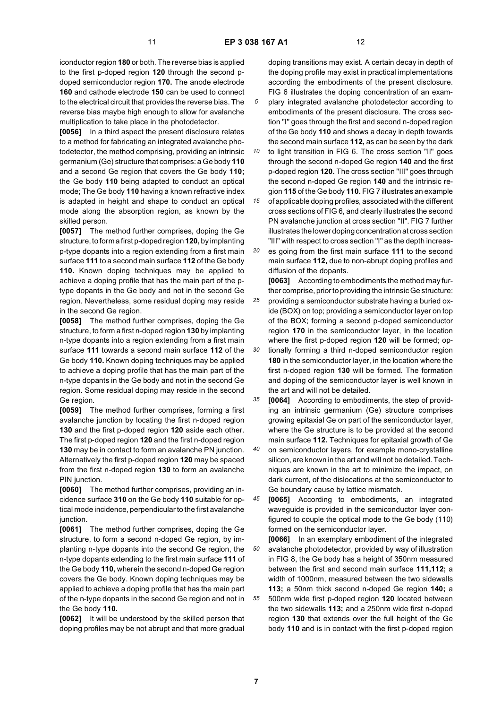iconductor region **180** or both. The reverse bias is applied to the first p-doped region **120** through the second pdoped semiconductor region **170.** The anode electrode **160** and cathode electrode **150** can be used to connect to the electrical circuit that provides the reverse bias. The reverse bias maybe high enough to allow for avalanche multiplication to take place in the photodetector.

**[0056]** In a third aspect the present disclosure relates to a method for fabricating an integrated avalanche photodetector, the method comprising, providing an intrinsic germanium (Ge) structure that comprises: a Ge body **110** and a second Ge region that covers the Ge body **110;** the Ge body **110** being adapted to conduct an optical mode; The Ge body **110** having a known refractive index is adapted in height and shape to conduct an optical mode along the absorption region, as known by the skilled person.

**[0057]** The method further comprises, doping the Ge structure, to form a first p-doped region **120,** by implanting p-type dopants into a region extending from a first main surface **111** to a second main surface **112** of the Ge body **110.** Known doping techniques may be applied to achieve a doping profile that has the main part of the ptype dopants in the Ge body and not in the second Ge region. Nevertheless, some residual doping may reside in the second Ge region.

**[0058]** The method further comprises, doping the Ge structure, to form a first n-doped region **130** by implanting n-type dopants into a region extending from a first main surface **111** towards a second main surface **112** of the Ge body **110.** Known doping techniques may be applied to achieve a doping profile that has the main part of the n-type dopants in the Ge body and not in the second Ge region. Some residual doping may reside in the second Ge region.

**[0059]** The method further comprises, forming a first avalanche junction by locating the first n-doped region **130** and the first p-doped region **120** aside each other. The first p-doped region **120** and the first n-doped region **130** may be in contact to form an avalanche PN junction. Alternatively the first p-doped region **120** may be spaced from the first n-doped region **130** to form an avalanche PIN junction.

**[0060]** The method further comprises, providing an incidence surface **310** on the Ge body **110** suitable for optical mode incidence, perpendicular to the first avalanche junction.

**[0061]** The method further comprises, doping the Ge structure, to form a second n-doped Ge region, by implanting n-type dopants into the second Ge region, the n-type dopants extending to the first main surface **111** of the Ge body **110,** wherein the second n-doped Ge region covers the Ge body. Known doping techniques may be applied to achieve a doping profile that has the main part of the n-type dopants in the second Ge region and not in the Ge body **110.**

**[0062]** It will be understood by the skilled person that doping profiles may be not abrupt and that more gradual doping transitions may exist. A certain decay in depth of the doping profile may exist in practical implementations according the embodiments of the present disclosure. FIG 6 illustrates the doping concentration of an examplary integrated avalanche photodetector according to embodiments of the present disclosure. The cross section "I" goes through the first and second n-doped region of the Ge body **110** and shows a decay in depth towards the second main surface **112,** as can be seen by the dark

*10* to light transition in FIG 6. The cross section "II" goes through the second n-doped Ge region **140** and the first p-doped region **120.** The cross section "III" goes through the second n-doped Ge region **140** and the intrinsic region **115** of the Ge body **110.** FIG 7 illustrates an example

*15* of applicable doping profiles, associated with the different cross sections of FIG 6, and clearly illustrates the second PN avalanche junction at cross section "II". FIG 7 further illustrates the lower doping concentration at cross section "III" with respect to cross section "I" as the depth increas-

*20* es going from the first main surface **111** to the second main surface **112,** due to non-abrupt doping profiles and diffusion of the dopants.

*25 30* **[0063]** According to embodiments the method may further comprise, prior to providing the intrinsic Ge structure: providing a semiconductor substrate having a buried oxide (BOX) on top; providing a semiconductor layer on top of the BOX; forming a second p-doped semiconductor region **170** in the semiconductor layer, in the location where the first p-doped region **120** will be formed; optionally forming a third n-doped semiconductor region **180** in the semiconductor layer, in the location where the first n-doped region **130** will be formed. The formation and doping of the semiconductor layer is well known in the art and will not be detailed.

*35* **[0064]** According to embodiments, the step of providing an intrinsic germanium (Ge) structure comprises growing epitaxial Ge on part of the semiconductor layer, where the Ge structure is to be provided at the second main surface **112.** Techniques for epitaxial growth of Ge

*40* on semiconductor layers, for example mono-crystalline silicon, are known in the art and will not be detailed. Techniques are known in the art to minimize the impact, on dark current, of the dislocations at the semiconductor to Ge boundary cause by lattice mismatch.

*45* **[0065]** According to embodiments, an integrated waveguide is provided in the semiconductor layer configured to couple the optical mode to the Ge body (110) formed on the semiconductor layer.

*50 55* **[0066]** In an exemplary embodiment of the integrated avalanche photodetector, provided by way of illustration in FIG 8, the Ge body has a height of 350nm measured between the first and second main surface **111,112;** a width of 1000nm, measured between the two sidewalls **113;** a 50nm thick second n-doped Ge region **140;** a 500nm wide first p-doped region **120** located between the two sidewalls **113;** and a 250nm wide first n-doped region **130** that extends over the full height of the Ge body **110** and is in contact with the first p-doped region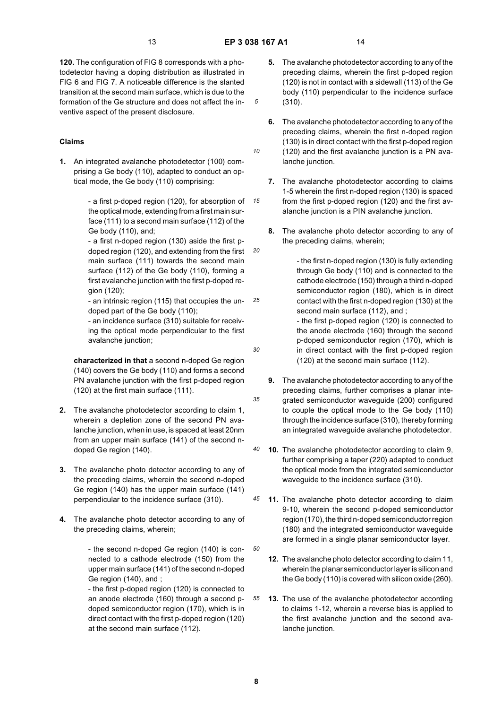*10*

*15*

*20*

*30*

*35*

*45*

*50*

**120.** The configuration of FIG 8 corresponds with a photodetector having a doping distribution as illustrated in FIG 6 and FIG 7. A noticeable difference is the slanted transition at the second main surface, which is due to the formation of the Ge structure and does not affect the inventive aspect of the present disclosure.

### **Claims**

**1.** An integrated avalanche photodetector (100) comprising a Ge body (110), adapted to conduct an optical mode, the Ge body (110) comprising:

> - a first p-doped region (120), for absorption of the optical mode, extending from a first main surface (111) to a second main surface (112) of the Ge body (110), and;

- a first n-doped region (130) aside the first pdoped region (120), and extending from the first main surface (111) towards the second main surface (112) of the Ge body (110), forming a first avalanche junction with the first p-doped region (120);

*25* - an intrinsic region (115) that occupies the undoped part of the Ge body (110);

- an incidence surface (310) suitable for receiving the optical mode perpendicular to the first avalanche junction;

**characterized in that** a second n-doped Ge region (140) covers the Ge body (110) and forms a second PN avalanche junction with the first p-doped region (120) at the first main surface (111).

- **2.** The avalanche photodetector according to claim 1, wherein a depletion zone of the second PN avalanche junction, when in use, is spaced at least 20nm from an upper main surface (141) of the second ndoped Ge region (140).
- **3.** The avalanche photo detector according to any of the preceding claims, wherein the second n-doped Ge region (140) has the upper main surface (141) perpendicular to the incidence surface (310).
- **4.** The avalanche photo detector according to any of the preceding claims, wherein;

- the second n-doped Ge region (140) is connected to a cathode electrode (150) from the upper main surface (141) of the second n-doped Ge region (140), and ;

- the first p-doped region (120) is connected to an anode electrode (160) through a second pdoped semiconductor region (170), which is in direct contact with the first p-doped region (120) at the second main surface (112).

- **5.** The avalanche photodetector according to any of the preceding claims, wherein the first p-doped region (120) is not in contact with a sidewall (113) of the Ge body (110) perpendicular to the incidence surface (310).
- **6.** The avalanche photodetector according to any of the preceding claims, wherein the first n-doped region (130) is in direct contact with the first p-doped region (120) and the first avalanche junction is a PN avalanche junction.
- **7.** The avalanche photodetector according to claims 1-5 wherein the first n-doped region (130) is spaced from the first p-doped region (120) and the first avalanche junction is a PIN avalanche junction.
- **8.** The avalanche photo detector according to any of the preceding claims, wherein;

- the first n-doped region (130) is fully extending through Ge body (110) and is connected to the cathode electrode (150) through a third n-doped semiconductor region (180), which is in direct contact with the first n-doped region (130) at the second main surface (112), and ;

- the first p-doped region (120) is connected to the anode electrode (160) through the second p-doped semiconductor region (170), which is in direct contact with the first p-doped region (120) at the second main surface (112).

- **9.** The avalanche photodetector according to any of the preceding claims, further comprises a planar integrated semiconductor waveguide (200) configured to couple the optical mode to the Ge body (110) through the incidence surface (310), thereby forming an integrated waveguide avalanche photodetector.
- *40* **10.** The avalanche photodetector according to claim 9, further comprising a taper (220) adapted to conduct the optical mode from the integrated semiconductor waveguide to the incidence surface (310).
	- **11.** The avalanche photo detector according to claim 9-10, wherein the second p-doped semiconductor region (170), the third n-doped semiconductor region (180) and the integrated semiconductor waveguide are formed in a single planar semiconductor layer.
		- **12.** The avalanche photo detector according to claim 11, wherein the planar semiconductor layer is silicon and the Ge body (110) is covered with silicon oxide (260).
- *55* **13.** The use of the avalanche photodetector according to claims 1-12, wherein a reverse bias is applied to the first avalanche junction and the second avalanche junction.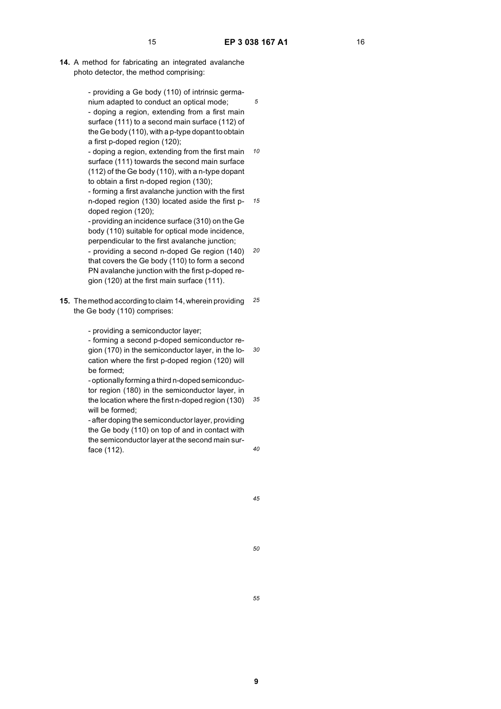**14.** A method for fabricating an integrated avalanche photo detector, the method comprising:

> - providing a Ge body (110) of intrinsic germanium adapted to conduct an optical mode;

- doping a region, extending from a first main surface (111) to a second main surface (112) of the Ge body (110), with a p-type dopant to obtain a first p-doped region (120);

*10* - doping a region, extending from the first main surface (111) towards the second main surface (112) of the Ge body (110), with a n-type dopant to obtain a first n-doped region (130);

*15* - forming a first avalanche junction with the first n-doped region (130) located aside the first pdoped region (120);

- providing an incidence surface (310) on the Ge body (110) suitable for optical mode incidence, perpendicular to the first avalanche junction;

*20* - providing a second n-doped Ge region (140) that covers the Ge body (110) to form a second PN avalanche junction with the first p-doped region (120) at the first main surface (111).

*25* **15.** The method according to claim 14, wherein providing the Ge body (110) comprises:

- providing a semiconductor layer;

*30* - forming a second p-doped semiconductor region (170) in the semiconductor layer, in the location where the first p-doped region (120) will be formed;

*35* - optionally forming a third n-doped semiconductor region (180) in the semiconductor layer, in the location where the first n-doped region (130) will be formed;

- after doping the semiconductor layer, providing the Ge body (110) on top of and in contact with the semiconductor layer at the second main surface (112).

*40*

*45*

*50*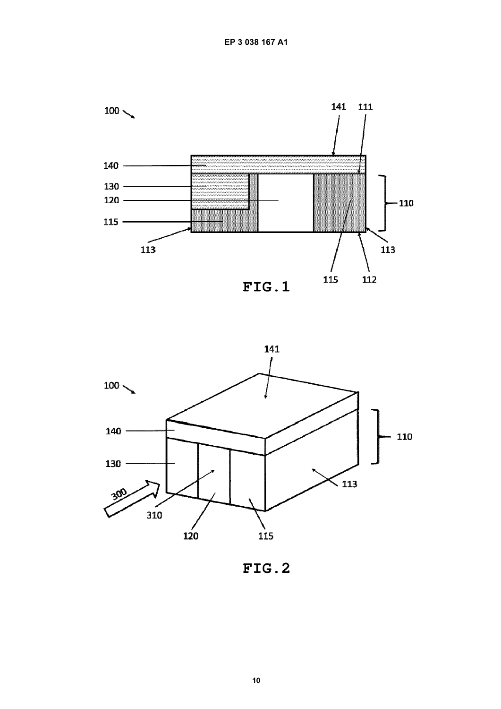



FIG.2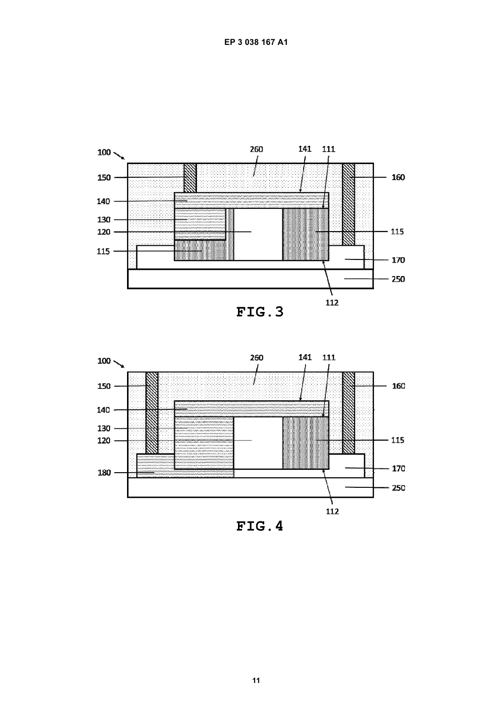



 $FIG.4$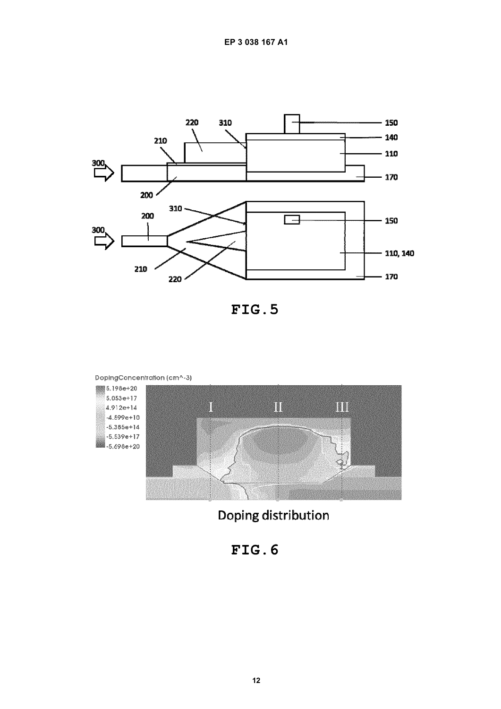

FIG.5



Doping distribution

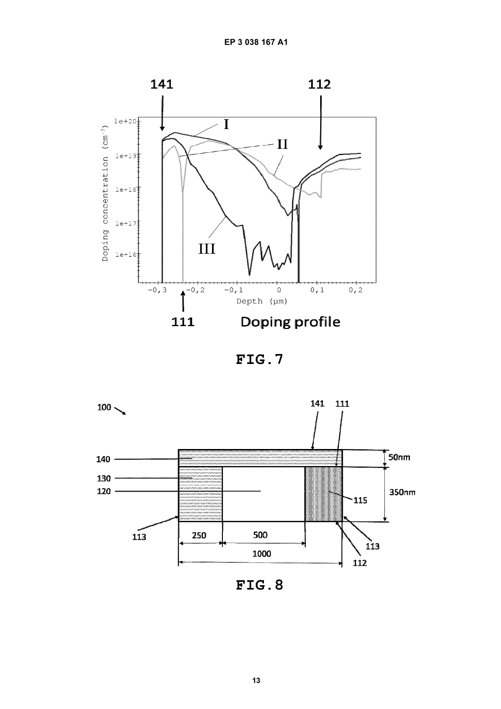

FIG.7



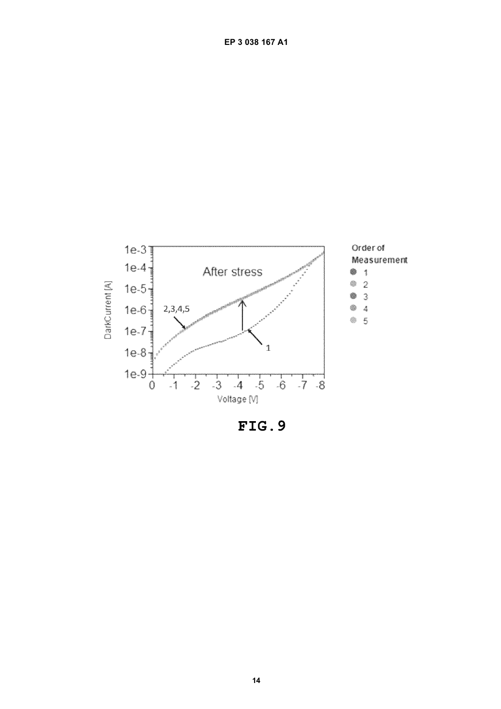

FIG.9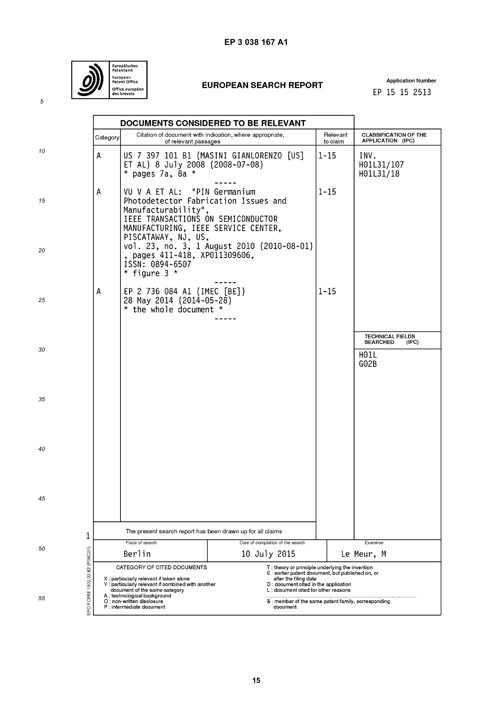

# **EP 3 038 167 A1**

# **EUROPEAN SEARCH REPORT**

**Application Number** EP 15 15 2513

|                              | Category                                                                               |                                                                                                                                                                          | DOCUMENTS CONSIDERED TO BE RELEVANT<br>Citation of document with indication, where appropriate, | Relevant                                                                                                                                                                                                      | <b>CLASSIFICATION OF THE</b>                                        |  |  |
|------------------------------|----------------------------------------------------------------------------------------|--------------------------------------------------------------------------------------------------------------------------------------------------------------------------|-------------------------------------------------------------------------------------------------|---------------------------------------------------------------------------------------------------------------------------------------------------------------------------------------------------------------|---------------------------------------------------------------------|--|--|
| 10                           | A                                                                                      | of relevant passages<br>ET AL) 8 July 2008 (2008-07-08)<br>$*$ pages 7a, 8a $*$                                                                                          | US 7 397 101 B1 (MASINI GIANLORENZO [US]                                                        | to claim<br>$1 - 15$                                                                                                                                                                                          | APPLICATION (IPC)<br>INV.<br>H01L31/107<br>H01L31/18                |  |  |
| 15                           | Α                                                                                      | VU V A ET AL: "PIN Germanium<br>Photodetector Fabrication Issues and<br>Manufacturability",<br>IEEE TRANSACTIONS ON SEMICONDUCTOR<br>MANUFACTURING, IEEE SERVICE CENTER, |                                                                                                 | $1 - 15$                                                                                                                                                                                                      |                                                                     |  |  |
| 20                           |                                                                                        | PISCATAWAY, NJ, US,<br>, pages 411-418, XP011309606,<br>ISSN: 0894-6507<br>* figure $3$ *                                                                                | vol. 23, no. 3, 1 August 2010 (2010-08-01)                                                      |                                                                                                                                                                                                               |                                                                     |  |  |
| 25                           | Α                                                                                      | EP 2 736 084 A1 (IMEC [BE])<br>28 May 2014 (2014-05-28)<br>* the whole document *                                                                                        |                                                                                                 | $1 - 15$                                                                                                                                                                                                      |                                                                     |  |  |
| 30                           |                                                                                        |                                                                                                                                                                          |                                                                                                 |                                                                                                                                                                                                               | <b>TECHNICAL FIELDS</b><br><b>SEARCHED</b><br>(IPC)<br>H01L<br>GO2B |  |  |
| 35                           |                                                                                        |                                                                                                                                                                          |                                                                                                 |                                                                                                                                                                                                               |                                                                     |  |  |
| 40                           |                                                                                        |                                                                                                                                                                          |                                                                                                 |                                                                                                                                                                                                               |                                                                     |  |  |
| 45                           |                                                                                        |                                                                                                                                                                          |                                                                                                 |                                                                                                                                                                                                               |                                                                     |  |  |
| 1                            | The present search report has been drawn up for all claims                             |                                                                                                                                                                          |                                                                                                 |                                                                                                                                                                                                               |                                                                     |  |  |
|                              | Place of search                                                                        |                                                                                                                                                                          | Date of completion of the search                                                                |                                                                                                                                                                                                               | Examiner                                                            |  |  |
| 50                           | Berlin                                                                                 |                                                                                                                                                                          | 10 July 2015                                                                                    | Le Meur, M                                                                                                                                                                                                    |                                                                     |  |  |
| EPO FORM 1503 03.82 (P04C01) |                                                                                        | CATEGORY OF CITED DOCUMENTS<br>X : particularly relevant if taken alone<br>Y : particularly relevant if combined with another<br>document of the same category           |                                                                                                 | T: theory or principle underlying the invention<br>E : earlier patent document, but published on, or<br>after the filing date<br>D : document cited in the application<br>L: document cited for other reasons |                                                                     |  |  |
| 55                           | A: technological background<br>O : non-written disclosure<br>P : intermediate document |                                                                                                                                                                          | & : member of the same patent family, corresponding<br>document                                 |                                                                                                                                                                                                               |                                                                     |  |  |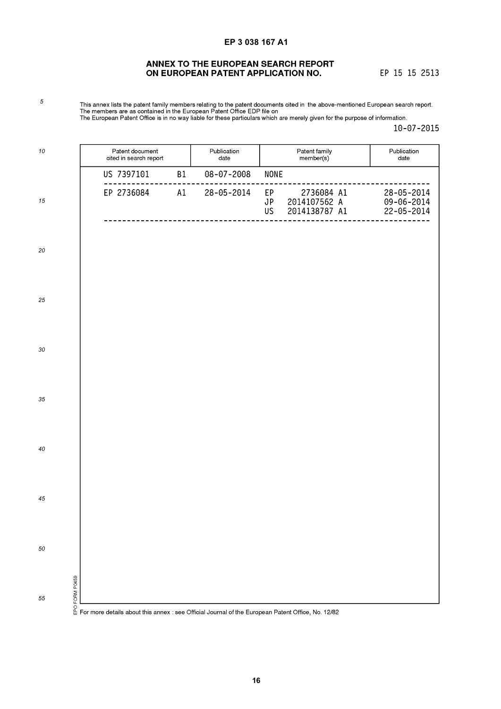# **EP 3 038 167 A1**

# ANNEX TO THE EUROPEAN SEARCH REPORT ON EUROPEAN PATENT APPLICATION NO.

EP 15 15 2513

This annex lists the patent family members relating to the patent documents cited in the above-mentioned European search report.<br>The members are as contained in the European Patent Office EDP file on<br>The European Patent O

 $10 - 07 - 2015$ 

| 10               | Patent document<br>cited in search report                                                                | Publication<br>date | Patent family<br>Publication<br>member(s)<br>date               |                                                    |
|------------------|----------------------------------------------------------------------------------------------------------|---------------------|-----------------------------------------------------------------|----------------------------------------------------|
|                  | US 7397101<br>B1                                                                                         | $08 - 07 - 2008$    | <b>NONE</b>                                                     |                                                    |
| 15               | EP 2736084<br>A1                                                                                         | $28 - 05 - 2014$    | 2736084 A1<br>EP.<br>2014107562 A<br>JP<br>2014138787 A1<br>US. | 28-05-2014<br>$09 - 06 - 2014$<br>$22 - 05 - 2014$ |
| 20               |                                                                                                          |                     |                                                                 |                                                    |
|                  |                                                                                                          |                     |                                                                 |                                                    |
| 25               |                                                                                                          |                     |                                                                 |                                                    |
| 30               |                                                                                                          |                     |                                                                 |                                                    |
| 35               |                                                                                                          |                     |                                                                 |                                                    |
| 40               |                                                                                                          |                     |                                                                 |                                                    |
| 45               |                                                                                                          |                     |                                                                 |                                                    |
| 50               |                                                                                                          |                     |                                                                 |                                                    |
| FORM P0459<br>55 | o<br>⊕ For more details about this annex : see Official Journal of the European Patent Office, No. 12/82 |                     |                                                                 |                                                    |